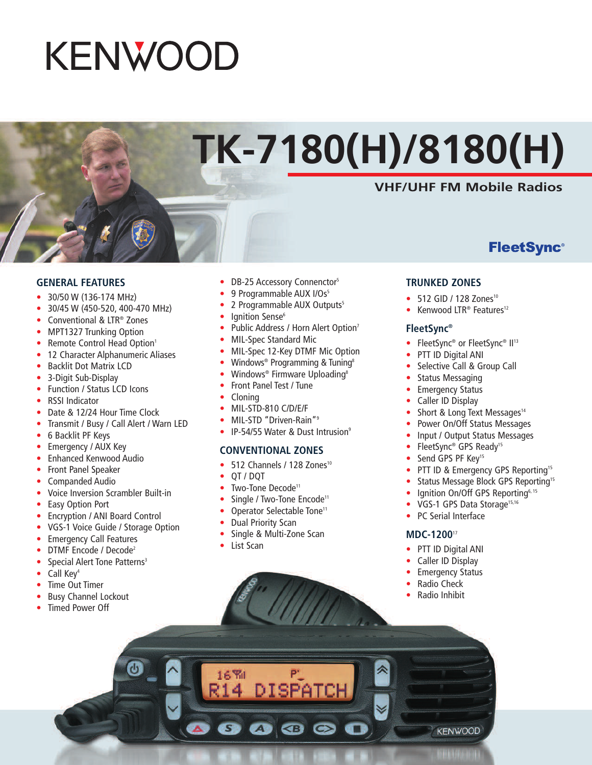# **KENWOOD**

# **TK-7180(H)/8180(H)**

### **VHF/UHF FM Mobile Radios**

**FleetSync®** 

#### **GENERAL FEATURES**

- 30/50 W (136-174 MHz)
- 30/45 W (450-520, 400-470 MHz)
- Conventional & LTR® Zones
- MPT1327 Trunking Option
- Remote Control Head Option<sup>1</sup>
- 12 Character Alphanumeric Aliases
- Backlit Dot Matrix LCD
- 3-Digit Sub-Display
- Function / Status LCD Icons
- RSSI Indicator
- Date & 12/24 Hour Time Clock
- Transmit / Busy / Call Alert / Warn LED
- 6 Backlit PF Keys
- Emergency / AUX Key
- Enhanced Kenwood Audio
- Front Panel Speaker
- Companded Audio
- Voice Inversion Scrambler Built-in
- **Easy Option Port**
- Encryption / ANI Board Control
- VGS-1 Voice Guide / Storage Option
- Emergency Call Features
- DTMF Encode / Decode2
- Special Alert Tone Patterns<sup>3</sup>
- Call Key<sup>4</sup>
- **Time Out Timer**
- Busy Channel Lockout
- Timed Power Off
- DB-25 Accessory Connenctor<sup>5</sup>
- 9 Programmable AUX I/Os<sup>5</sup>
- 2 Programmable AUX Outputs<sup>5</sup>
- Ignition Sense<sup>6</sup>
- Public Address / Horn Alert Option<sup>7</sup>
- MIL-Spec Standard Mic
- MIL-Spec 12-Key DTMF Mic Option
- Windows<sup>®</sup> Programming & Tuning<sup>8</sup>
- Windows® Firmware Uploading<sup>8</sup>
- Front Panel Test / Tune
- Cloning
- MIL-STD-810 C/D/E/F
- MIL-STD "Driven-Rain"9
- IP-54/55 Water & Dust Intrusion<sup>9</sup>

#### **CONVENTIONAL ZONES**

- 512 Channels / 128 Zones<sup>10</sup>
- QT / DQT
- Two-Tone Decode<sup>11</sup>
- Single / Two-Tone Encode<sup>11</sup>
- Operator Selectable Tone<sup>11</sup>
- Dual Priority Scan
- Single & Multi-Zone Scan
- List Scan

#### **TRUNKED ZONES**

- 512 GID / 128 Zones<sup>10</sup>
- Kenwood LTR® Features<sup>12</sup>

#### **FleetSync®**

- FleetSync® or FleetSync® II<sup>13</sup>
- PTT ID Digital ANI
- Selective Call & Group Call
- Status Messaging
- **Emergency Status**
- Caller ID Display
- Short & Long Text Messages<sup>14</sup>
- Power On/Off Status Messages
- Input / Output Status Messages
- FleetSync® GPS Ready<sup>15</sup>
- Send GPS PF Key<sup>15</sup>
- PTT ID & Emergency GPS Reporting<sup>15</sup>
- Status Message Block GPS Reporting<sup>15</sup>
- Ignition On/Off GPS Reporting<sup>6, 15</sup>
- VGS-1 GPS Data Storage<sup>15,16</sup>
- PC Serial Interface

#### **MDC-1200**<sup>17</sup>

- PTT ID Digital ANI
- Caller ID Display
- **Emergency Status**
- Radio Check
- Radio Inhibit